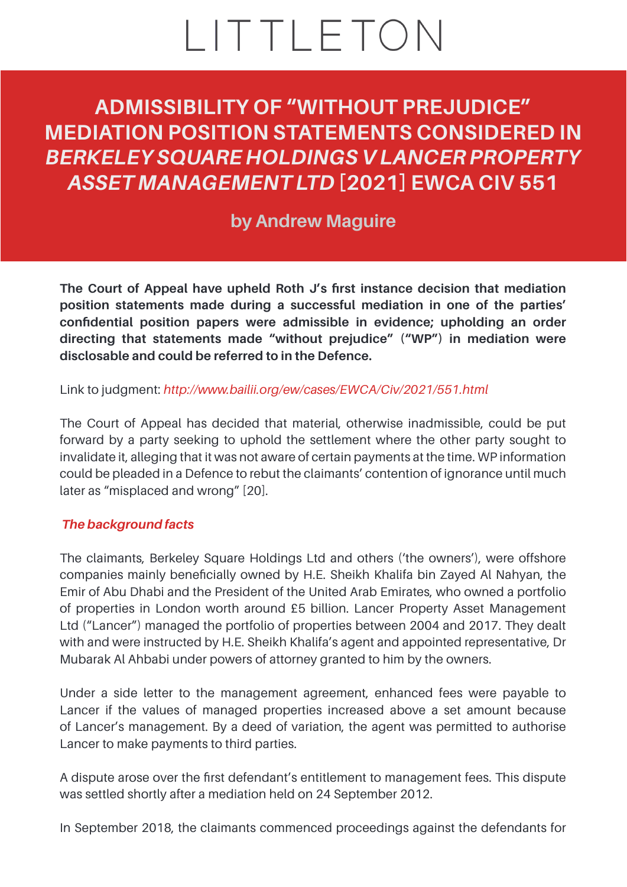# LITTLETON

**ADMISSIBILITY OF "WITHOUT PREJUDICE" MEDIATION POSITION STATEMENTS CONSIDERED IN**  *BERKELEY SQUARE HOLDINGS V LANCER PROPERTY ASSET MANAGEMENT LTD* **[2021] EWCA CIV 551**

# **[by](https://littletonchambers.com/people/martin-fodder/) [Andrew Maguire](https://littletonchambers.com/people/andrew-maguire/)**

**The Court of Appeal have upheld Roth J's first instance decision that mediation position statements made during a successful mediation in one of the parties' confidential position papers were admissible in evidence; upholding an order directing that statements made "without prejudice" ("WP") in mediation were disclosable and could be referred to in the Defence.**

Link to judgment: *[http://www.bailii.org/ew/cases/EWCA/Civ/2021/551.html](https://www.bailii.org/ew/cases/EWCA/Civ/2021/551.html)*

The Court of Appeal has decided that material, otherwise inadmissible, could be put forward by a party seeking to uphold the settlement where the other party sought to invalidate it, alleging that it was not aware of certain payments at the time. WP information could be pleaded in a Defence to rebut the claimants' contention of ignorance until much later as "misplaced and wrong" [20].

## *The background facts*

The claimants, Berkeley Square Holdings Ltd and others ('the owners'), were offshore companies mainly beneficially owned by H.E. Sheikh Khalifa bin Zayed Al Nahyan, the Emir of Abu Dhabi and the President of the United Arab Emirates, who owned a portfolio of properties in London worth around £5 billion. Lancer Property Asset Management Ltd ("Lancer") managed the portfolio of properties between 2004 and 2017. They dealt with and were instructed by H.E. Sheikh Khalifa's agent and appointed representative, Dr Mubarak Al Ahbabi under powers of attorney granted to him by the owners.

Under a side letter to the management agreement, enhanced fees were payable to Lancer if the values of managed properties increased above a set amount because of Lancer's management. By a deed of variation, the agent was permitted to authorise Lancer to make payments to third parties.

A dispute arose over the first defendant's entitlement to management fees. This dispute was settled shortly after a mediation held on 24 September 2012.

In September 2018, the claimants commenced proceedings against the defendants for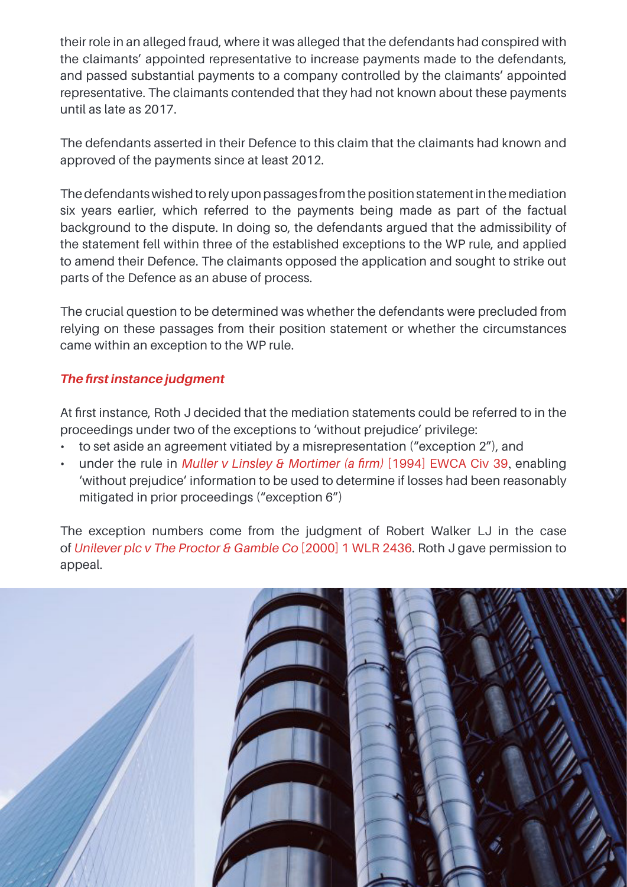their role in an alleged fraud, where it was alleged that the defendants had conspired with the claimants' appointed representative to increase payments made to the defendants, and passed substantial payments to a company controlled by the claimants' appointed representative. The claimants contended that they had not known about these payments until as late as 2017.

The defendants asserted in their Defence to this claim that the claimants had known and approved of the payments since at least 2012.

The defendants wished to rely upon passages from the position statement in the mediation six years earlier, which referred to the payments being made as part of the factual background to the dispute. In doing so, the defendants argued that the admissibility of the statement fell within three of the established exceptions to the WP rule, and applied to amend their Defence. The claimants opposed the application and sought to strike out parts of the Defence as an abuse of process.

The crucial question to be determined was whether the defendants were precluded from relying on these passages from their position statement or whether the circumstances came within an exception to the WP rule.

# *The first instance judgment*

At first instance, Roth J decided that the mediation statements could be referred to in the proceedings under two of the exceptions to 'without prejudice' privilege:

- to set aside an agreement vitiated by a misrepresentation ("exception 2"), and
- under the rule in *Muller v Linsley & Mortimer (a firm)* [\[1994\] EWCA Civ 39](https://www.bailii.org/ew/cases/EWCA/Civ/1994/39.html), enabling 'without prejudice' information to be used to determine if losses had been reasonably mitigated in prior proceedings ("exception 6")

The exception numbers come from the judgment of Robert Walker LJ in the case of *[Unilever plc v The Proctor & Gamble Co](https://www.bailii.org/ew/cases/EWCA/Civ/1999/3027.html)* [2000] 1 WLR 2436. Roth J gave permission to appeal.

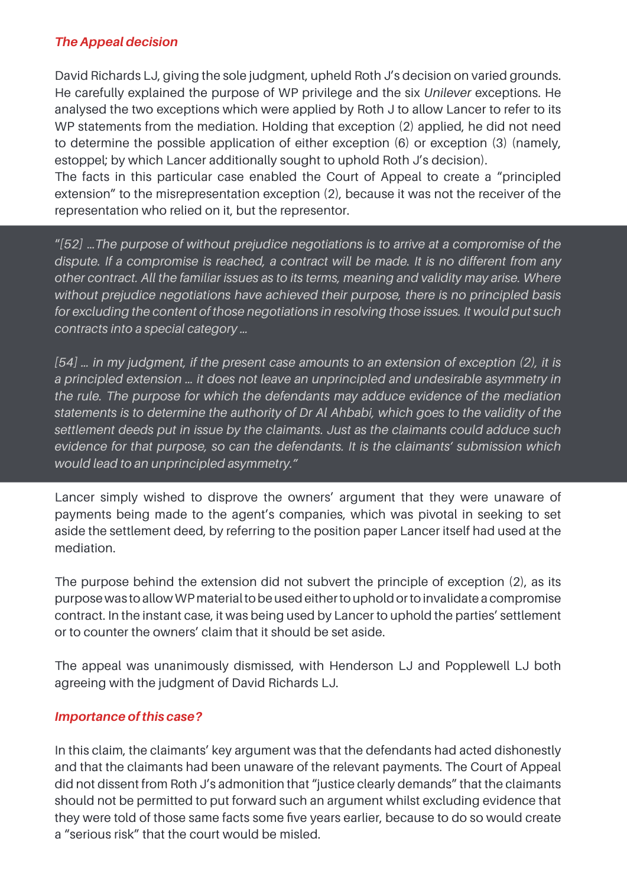## *The Appeal decision*

David Richards LJ, giving the sole judgment, upheld Roth J's decision on varied grounds. He carefully explained the purpose of WP privilege and the six *Unilever* exceptions. He analysed the two exceptions which were applied by Roth J to allow Lancer to refer to its WP statements from the mediation. Holding that exception (2) applied, he did not need to determine the possible application of either exception (6) or exception (3) (namely, estoppel; by which Lancer additionally sought to uphold Roth J's decision).

The facts in this particular case enabled the Court of Appeal to create a "principled extension" to the misrepresentation exception (2), because it was not the receiver of the representation who relied on it, but the representor.

"*[52]* …*The purpose of without prejudice negotiations is to arrive at a compromise of the dispute. If a compromise is reached, a contract will be made. It is no different from any other contract. All the familiar issues as to its terms, meaning and validity may arise. Where without prejudice negotiations have achieved their purpose, there is no principled basis for excluding the content of those negotiations in resolving those issues. It would put such contracts into a special category …*

*[54] … in my judgment, if the present case amounts to an extension of exception (2), it is a principled extension … it does not leave an unprincipled and undesirable asymmetry in the rule. The purpose for which the defendants may adduce evidence of the mediation statements is to determine the authority of Dr Al Ahbabi, which goes to the validity of the settlement deeds put in issue by the claimants. Just as the claimants could adduce such evidence for that purpose, so can the defendants. It is the claimants' submission which would lead to an unprincipled asymmetry."*

Lancer simply wished to disprove the owners' argument that they were unaware of payments being made to the agent's companies, which was pivotal in seeking to set aside the settlement deed, by referring to the position paper Lancer itself had used at the mediation.

The purpose behind the extension did not subvert the principle of exception (2), as its purpose was to allow WP material to be used either to uphold or to invalidate a compromise contract. In the instant case, it was being used by Lancer to uphold the parties' settlement or to counter the owners' claim that it should be set aside.

The appeal was unanimously dismissed, with Henderson LJ and Popplewell LJ both agreeing with the judgment of David Richards LJ.

#### *Importance of this case?*

In this claim, the claimants' key argument was that the defendants had acted dishonestly and that the claimants had been unaware of the relevant payments. The Court of Appeal did not dissent from Roth J's admonition that "justice clearly demands" that the claimants should not be permitted to put forward such an argument whilst excluding evidence that they were told of those same facts some five years earlier, because to do so would create a "serious risk" that the court would be misled.